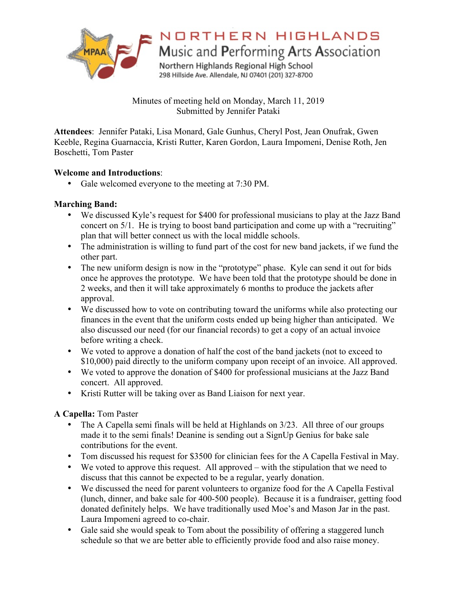

NORTHERN HIGHLANDS

Music and Performing Arts Association

Northern Highlands Regional High School 298 Hillside Ave. Allendale, NJ 07401 (201) 327-8700

Minutes of meeting held on Monday, March 11, 2019 Submitted by Jennifer Pataki

**Attendees**: Jennifer Pataki, Lisa Monard, Gale Gunhus, Cheryl Post, Jean Onufrak, Gwen Keeble, Regina Guarnaccia, Kristi Rutter, Karen Gordon, Laura Impomeni, Denise Roth, Jen Boschetti, Tom Paster

## **Welcome and Introductions**:

• Gale welcomed everyone to the meeting at 7:30 PM.

# **Marching Band:**

- We discussed Kyle's request for \$400 for professional musicians to play at the Jazz Band concert on 5/1. He is trying to boost band participation and come up with a "recruiting" plan that will better connect us with the local middle schools.
- The administration is willing to fund part of the cost for new band jackets, if we fund the other part.
- The new uniform design is now in the "prototype" phase. Kyle can send it out for bids once he approves the prototype. We have been told that the prototype should be done in 2 weeks, and then it will take approximately 6 months to produce the jackets after approval.
- We discussed how to vote on contributing toward the uniforms while also protecting our finances in the event that the uniform costs ended up being higher than anticipated. We also discussed our need (for our financial records) to get a copy of an actual invoice before writing a check.
- We voted to approve a donation of half the cost of the band jackets (not to exceed to \$10,000) paid directly to the uniform company upon receipt of an invoice. All approved.
- We voted to approve the donation of \$400 for professional musicians at the Jazz Band concert. All approved.
- Kristi Rutter will be taking over as Band Liaison for next year.

# **A Capella:** Tom Paster

- The A Capella semi finals will be held at Highlands on 3/23. All three of our groups made it to the semi finals! Deanine is sending out a SignUp Genius for bake sale contributions for the event.
- Tom discussed his request for \$3500 for clinician fees for the A Capella Festival in May.
- We voted to approve this request. All approved with the stipulation that we need to discuss that this cannot be expected to be a regular, yearly donation.
- We discussed the need for parent volunteers to organize food for the A Capella Festival (lunch, dinner, and bake sale for 400-500 people). Because it is a fundraiser, getting food donated definitely helps. We have traditionally used Moe's and Mason Jar in the past. Laura Impomeni agreed to co-chair.
- Gale said she would speak to Tom about the possibility of offering a staggered lunch schedule so that we are better able to efficiently provide food and also raise money.